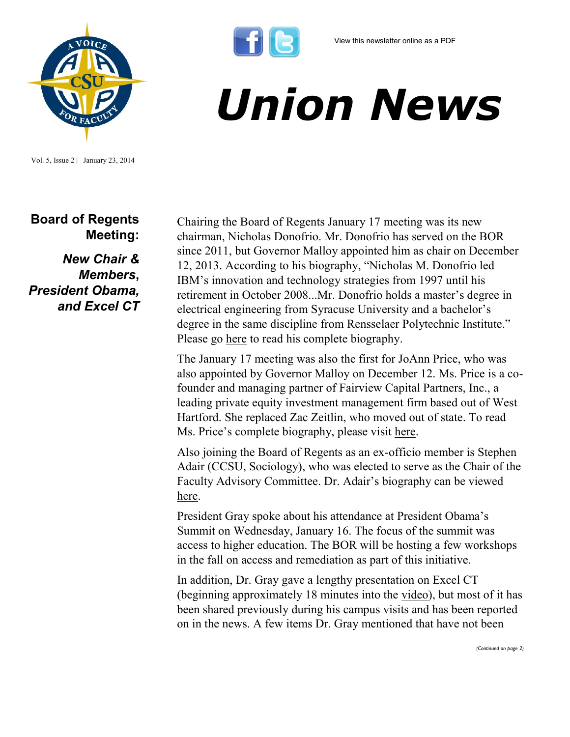

Vol. 5, Issue 2 | January 23, 2014

**Board of Regents Meeting:** 

*New Chair & Members***,**  *President Obama, and Excel CT* Chairing the Board of Regents January 17 meeting was its new chairman, Nicholas Donofrio. Mr. Donofrio has served on the BOR since 2011, but Governor Malloy appointed him as chair on December 12, 2013. According to his biography, "Nicholas M. Donofrio led IBM's innovation and technology strategies from 1997 until his retirement in October 2008...Mr. Donofrio holds a master's degree in electrical engineering from Syracuse University and a bachelor's degree in the same discipline from Rensselaer Polytechnic Institute." Please go [here](http://www.ct.edu/regents/members/nicholas_m._donofrio) to read his complete biography.

*Union News*

The January 17 meeting was also the first for JoAnn Price, who was also appointed by Governor Malloy on December 12. Ms. Price is a cofounder and managing partner of Fairview Capital Partners, Inc., a leading private equity investment management firm based out of West Hartford. She replaced Zac Zeitlin, who moved out of state. To read Ms. Price's complete biography, please visit [here.](http://www.ct.edu/regents/members/joann_h._price) 

Also joining the Board of Regents as an ex-officio member is Stephen Adair (CCSU, Sociology), who was elected to serve as the Chair of the Faculty Advisory Committee. Dr. Adair's biography can be viewed [here.](http://www.ct.edu/regents/members/stephen_adair) 

President Gray spoke about his attendance at President Obama's Summit on Wednesday, January 16. The focus of the summit was access to higher education. The BOR will be hosting a few workshops in the fall on access and remediation as part of this initiative.

In addition, Dr. Gray gave a lengthy presentation on Excel CT (beginning approximately 18 minutes into the [video\),](http://www.ct-n.com/ctnplayer.asp?odID=9820) but most of it has been shared previously during his campus visits and has been reported on in the news. A few items Dr. Gray mentioned that have not been